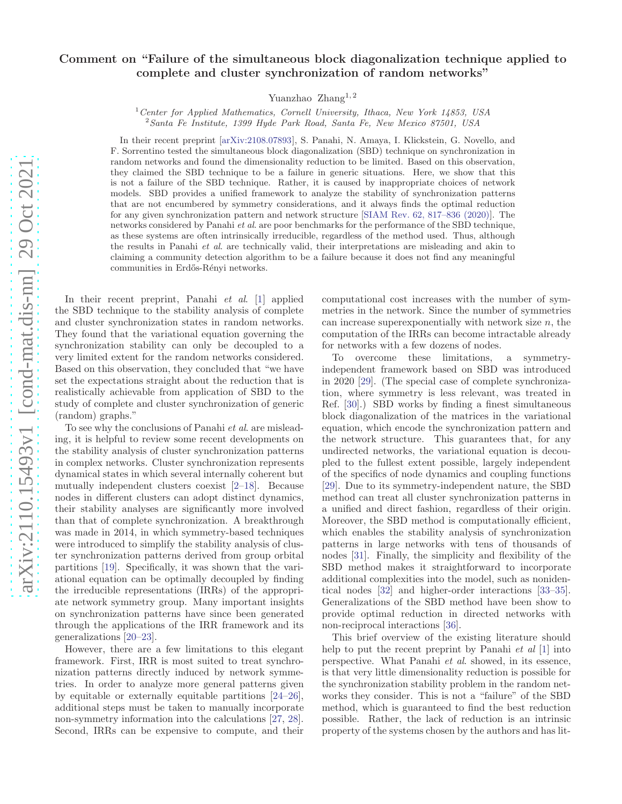## Comment on "Failure of the simultaneous block diagonalization technique applied to complete and cluster synchronization of random networks"

Yuanzhao Zhang<sup>1,2</sup>

<sup>1</sup> Center for Applied Mathematics, Cornell University, Ithaca, New York 14853, USA <sup>2</sup>Santa Fe Institute, 1399 Hyde Park Road, Santa Fe, New Mexico 87501, USA

In their recent preprint [\[arXiv:2108.07893\]](https://arxiv.org/abs/2108.07893v1), S. Panahi, N. Amaya, I. Klickstein, G. Novello, and F. Sorrentino tested the simultaneous block diagonalization (SBD) technique on synchronization in random networks and found the dimensionality reduction to be limited. Based on this observation, they claimed the SBD technique to be a failure in generic situations. Here, we show that this is not a failure of the SBD technique. Rather, it is caused by inappropriate choices of network models. SBD provides a unified framework to analyze the stability of synchronization patterns that are not encumbered by symmetry considerations, and it always finds the optimal reduction for any given synchronization pattern and network structure [\[SIAM Rev. 62, 817–836 \(2020\)\]](https://doi.org/10.1137/19M127358X). The networks considered by Panahi *et al.* are poor benchmarks for the performance of the SBD technique, as these systems are often intrinsically irreducible, regardless of the method used. Thus, although the results in Panahi et al. are technically valid, their interpretations are misleading and akin to claiming a community detection algorithm to be a failure because it does not find any meaningful communities in Erdős-Rényi networks.

In their recent preprint, Panahi *et al.* [\[1\]](#page-1-0) applied the SBD technique to the stability analysis of complete and cluster synchronization states in random networks. They found that the variational equation governing the synchronization stability can only be decoupled to a very limited extent for the random networks considered. Based on this observation, they concluded that "we have set the expectations straight about the reduction that is realistically achievable from application of SBD to the study of complete and cluster synchronization of generic (random) graphs."

To see why the conclusions of Panahi et al. are misleading, it is helpful to review some recent developments on the stability analysis of cluster synchronization patterns in complex networks. Cluster synchronization represents dynamical states in which several internally coherent but mutually independent clusters coexist [\[2](#page-1-1)[–18](#page-1-2)]. Because nodes in different clusters can adopt distinct dynamics, their stability analyses are significantly more involved than that of complete synchronization. A breakthrough was made in 2014, in which symmetry-based techniques were introduced to simplify the stability analysis of cluster synchronization patterns derived from group orbital partitions [\[19\]](#page-1-3). Specifically, it was shown that the variational equation can be optimally decoupled by finding the irreducible representations (IRRs) of the appropriate network symmetry group. Many important insights on synchronization patterns have since been generated through the applications of the IRR framework and its generalizations [\[20](#page-2-0)[–23](#page-2-1)].

However, there are a few limitations to this elegant framework. First, IRR is most suited to treat synchronization patterns directly induced by network symmetries. In order to analyze more general patterns given by equitable or externally equitable partitions [\[24](#page-2-2)[–26\]](#page-2-3), additional steps must be taken to manually incorporate non-symmetry information into the calculations [\[27,](#page-2-4) [28\]](#page-2-5). Second, IRRs can be expensive to compute, and their

computational cost increases with the number of symmetries in the network. Since the number of symmetries can increase superexponentially with network size  $n$ , the computation of the IRRs can become intractable already for networks with a few dozens of nodes.

To overcome these limitations, a symmetryindependent framework based on SBD was introduced in 2020 [\[29](#page-2-6)]. (The special case of complete synchronization, where symmetry is less relevant, was treated in Ref. [\[30](#page-2-7)].) SBD works by finding a finest simultaneous block diagonalization of the matrices in the variational equation, which encode the synchronization pattern and the network structure. This guarantees that, for any undirected networks, the variational equation is decoupled to the fullest extent possible, largely independent of the specifics of node dynamics and coupling functions [\[29\]](#page-2-6). Due to its symmetry-independent nature, the SBD method can treat all cluster synchronization patterns in a unified and direct fashion, regardless of their origin. Moreover, the SBD method is computationally efficient, which enables the stability analysis of synchronization patterns in large networks with tens of thousands of nodes [\[31\]](#page-2-8). Finally, the simplicity and flexibility of the SBD method makes it straightforward to incorporate additional complexities into the model, such as nonidentical nodes [\[32](#page-2-9)] and higher-order interactions [\[33](#page-2-10)[–35\]](#page-2-11). Generalizations of the SBD method have been show to provide optimal reduction in directed networks with non-reciprocal interactions [\[36\]](#page-2-12).

This brief overview of the existing literature should help to put the recent preprint by Panahi *et al* [\[1\]](#page-1-0) into perspective. What Panahi et al. showed, in its essence, is that very little dimensionality reduction is possible for the synchronization stability problem in the random networks they consider. This is not a "failure" of the SBD method, which is guaranteed to find the best reduction possible. Rather, the lack of reduction is an intrinsic property of the systems chosen by the authors and has lit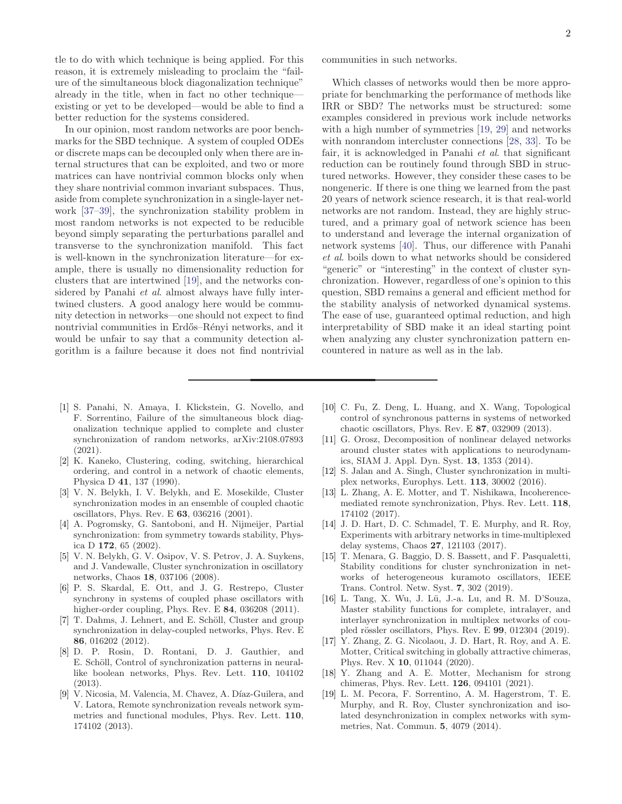tle to do with which technique is being applied. For this reason, it is extremely misleading to proclaim the "failure of the simultaneous block diagonalization technique" already in the title, when in fact no other technique existing or yet to be developed—would be able to find a better reduction for the systems considered.

In our opinion, most random networks are poor benchmarks for the SBD technique. A system of coupled ODEs or discrete maps can be decoupled only when there are internal structures that can be exploited, and two or more matrices can have nontrivial common blocks only when they share nontrivial common invariant subspaces. Thus, aside from complete synchronization in a single-layer network [\[37](#page-2-13)[–39\]](#page-2-14), the synchronization stability problem in most random networks is not expected to be reducible beyond simply separating the perturbations parallel and transverse to the synchronization manifold. This fact is well-known in the synchronization literature—for example, there is usually no dimensionality reduction for clusters that are intertwined [\[19\]](#page-1-3), and the networks considered by Panahi *et al.* almost always have fully intertwined clusters. A good analogy here would be community detection in networks—one should not expect to find nontrivial communities in Erdős–Rényi networks, and it would be unfair to say that a community detection algorithm is a failure because it does not find nontrivial

- <span id="page-1-0"></span>[1] S. Panahi, N. Amaya, I. Klickstein, G. Novello, and F. Sorrentino, Failure of the simultaneous block diagonalization technique applied to complete and cluster synchronization of random networks, arXiv:2108.07893 (2021).
- <span id="page-1-1"></span>[2] K. Kaneko, Clustering, coding, switching, hierarchical ordering, and control in a network of chaotic elements, Physica D 41, 137 (1990).
- [3] V. N. Belykh, I. V. Belykh, and E. Mosekilde, Cluster synchronization modes in an ensemble of coupled chaotic oscillators, Phys. Rev. E 63, 036216 (2001).
- [4] A. Pogromsky, G. Santoboni, and H. Nijmeijer, Partial synchronization: from symmetry towards stability, Physica D 172, 65 (2002).
- [5] V. N. Belykh, G. V. Osipov, V. S. Petrov, J. A. Suykens, and J. Vandewalle, Cluster synchronization in oscillatory networks, Chaos 18, 037106 (2008).
- [6] P. S. Skardal, E. Ott, and J. G. Restrepo, Cluster synchrony in systems of coupled phase oscillators with higher-order coupling, Phys. Rev. E 84, 036208 (2011).
- [7] T. Dahms, J. Lehnert, and E. Schöll, Cluster and group synchronization in delay-coupled networks, Phys. Rev. E 86, 016202 (2012).
- [8] D. P. Rosin, D. Rontani, D. J. Gauthier, and E. Schöll, Control of synchronization patterns in neurallike boolean networks, Phys. Rev. Lett. 110, 104102 (2013).
- [9] V. Nicosia, M. Valencia, M. Chavez, A. Díaz-Guilera, and V. Latora, Remote synchronization reveals network symmetries and functional modules, Phys. Rev. Lett. 110, 174102 (2013).

communities in such networks.

Which classes of networks would then be more appropriate for benchmarking the performance of methods like IRR or SBD? The networks must be structured: some examples considered in previous work include networks with a high number of symmetries [\[19](#page-1-3), [29](#page-2-6)] and networks with nonrandom intercluster connections [\[28](#page-2-5), [33](#page-2-10)]. To be fair, it is acknowledged in Panahi *et al.* that significant reduction can be routinely found through SBD in structured networks. However, they consider these cases to be nongeneric. If there is one thing we learned from the past 20 years of network science research, it is that real-world networks are not random. Instead, they are highly structured, and a primary goal of network science has been to understand and leverage the internal organization of network systems [\[40\]](#page-2-15). Thus, our difference with Panahi et al. boils down to what networks should be considered "generic" or "interesting" in the context of cluster synchronization. However, regardless of one's opinion to this question, SBD remains a general and efficient method for the stability analysis of networked dynamical systems. The ease of use, guaranteed optimal reduction, and high interpretability of SBD make it an ideal starting point when analyzing any cluster synchronization pattern encountered in nature as well as in the lab.

- [10] C. Fu, Z. Deng, L. Huang, and X. Wang, Topological control of synchronous patterns in systems of networked chaotic oscillators, Phys. Rev. E 87, 032909 (2013).
- [11] G. Orosz, Decomposition of nonlinear delayed networks around cluster states with applications to neurodynamics, SIAM J. Appl. Dyn. Syst. 13, 1353 (2014).
- [12] S. Jalan and A. Singh, Cluster synchronization in multiplex networks, Europhys. Lett. 113, 30002 (2016).
- [13] L. Zhang, A. E. Motter, and T. Nishikawa, Incoherencemediated remote synchronization, Phys. Rev. Lett. 118, 174102 (2017).
- [14] J. D. Hart, D. C. Schmadel, T. E. Murphy, and R. Roy, Experiments with arbitrary networks in time-multiplexed delay systems, Chaos 27, 121103 (2017).
- [15] T. Menara, G. Baggio, D. S. Bassett, and F. Pasqualetti, Stability conditions for cluster synchronization in networks of heterogeneous kuramoto oscillators, IEEE Trans. Control. Netw. Syst. 7, 302 (2019).
- [16] L. Tang, X. Wu, J. Lü, J.-a. Lu, and R. M. D'Souza, Master stability functions for complete, intralayer, and interlayer synchronization in multiplex networks of coupled rössler oscillators, Phys. Rev. E 99, 012304 (2019).
- [17] Y. Zhang, Z. G. Nicolaou, J. D. Hart, R. Roy, and A. E. Motter, Critical switching in globally attractive chimeras, Phys. Rev. X 10, 011044 (2020).
- <span id="page-1-2"></span>[18] Y. Zhang and A. E. Motter, Mechanism for strong chimeras, Phys. Rev. Lett. 126, 094101 (2021).
- <span id="page-1-3"></span>[19] L. M. Pecora, F. Sorrentino, A. M. Hagerstrom, T. E. Murphy, and R. Roy, Cluster synchronization and isolated desynchronization in complex networks with symmetries, Nat. Commun. 5, 4079 (2014).